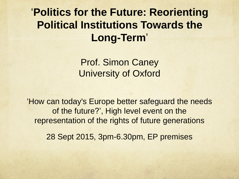'**Politics for the Future: Reorienting Political Institutions Towards the Long-Term**'

> Prof. Simon Caney University of Oxford

'How can today's Europe better safeguard the needs of the future?', High level event on the representation of the rights of future generations

28 Sept 2015, 3pm-6.30pm, EP premises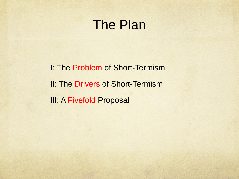### The Plan

I: The Problem of Short-Termism II: The Drivers of Short-Termism **III: A Fivefold Proposal**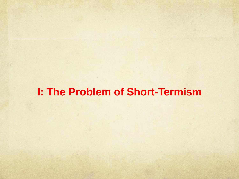#### **I: The Problem of Short-Termism**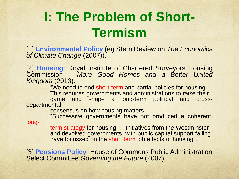## **I: The Problem of Short-Termism**

[1] **Environmental Policy** (eg Stern Review on *The Economics of Climate Change* (2007)).

[2] **Housing**: Royal Institute of Chartered Surveyors Housing Commission – *More Good Homes and a Better United Kingdom* (2013).

"We need to end short-term and partial policies for housing. This requires governments and administrations to raise their game and shape a long-term political and crossdepartmental

consensus on how housing matters."

"Successive governments have not produced a coherent,

long-

term strategy for housing … Initiatives from the Westminster and devolved governments, with public capital support falling, have focussed on the short term job effects of housing".

[3] **Pensions Policy**: House of Commons Public Administration Select Committee *Governing the Future* (2007)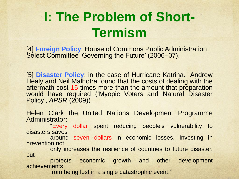## **I: The Problem of Short-Termism**

[4] **Foreign Policy**: House of Commons Public Administration Select Committee 'Governing the Future' (2006–07).

[5] **Disaster Policy**: in the case of Hurricane Katrina. Andrew Healy and Neil Malhotra found that the costs of dealing with the aftermath cost 15 times more than the amount that preparation would have required ('Myopic Voters and Natural Disaster Policy', *APSR* (2009))

Helen Clark the United Nations Development Programme Administrator:

"Every dollar spent reducing people's vulnerability to disasters saves

around seven dollars in economic losses. Investing in prevention not

only increases the resilience of countries to future disaster, but

protects economic growth and other development achievements

from being lost in a single catastrophic event."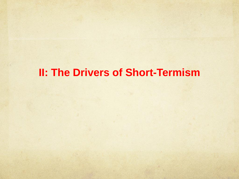#### **II: The Drivers of Short-Termism**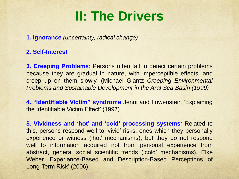## **II: The Drivers**

**1. Ignorance** *(uncertainty, radical change)*

#### **2. Self-Interest**

**3. Creeping Problems**: Persons often fail to detect certain problems because they are gradual in nature, with imperceptible effects, and creep up on them slowly. (Michael Glantz *Creeping Environmental Problems and Sustainable Development in the Aral Sea Basin (1999)*

**4. "Identifiable Victim" syndrome** Jenni and Lowenstein 'Explaining the Identifiable Victim Effect' (1997)

**5. Vividness and 'hot' and 'cold' processing systems***:* Related to this, persons respond well to 'vivid' risks, ones which they personally experience or witness ('hot' mechanisms), but they do not respond well to information acquired not from personal experience from abstract, general social scientific trends ('cold' mechanisms). Elke Weber 'Experience-Based and Description-Based Perceptions of Long-Term Risk' (2006).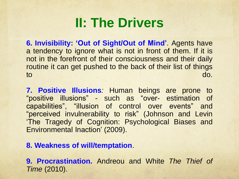## **II: The Drivers**

**6. Invisibility: 'Out of Sight/Out of Mind'**. Agents have a tendency to ignore what is not in front of them. If it is not in the forefront of their consciousness and their daily routine it can get pushed to the back of their list of things to do.

**7. Positive Illusions***:* Human beings are prone to "positive illusions" - such as "over- estimation of capabilities", "illusion of control over events" and "perceived invulnerability to risk" (Johnson and Levin 'The Tragedy of Cognition: Psychological Biases and Environmental Inaction' (2009).

#### **8. Weakness of will/temptation**.

**9. Procrastination.** Andreou and White *The Thief of Time* (2010).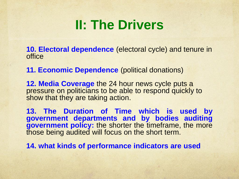## **II: The Drivers**

**10. Electoral dependence** (electoral cycle) and tenure in office

**11. Economic Dependence** (political donations)

**12. Media Coverage** the 24 hour news cycle puts a pressure on politicians to be able to respond quickly to show that they are taking action.

**13. The Duration of Time which is used by government departments and by bodies auditing government policy:** the shorter the timeframe, the more those being audited will focus on the short term.

**14. what kinds of performance indicators are used**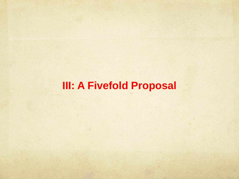### **III: A Fivefold Proposal**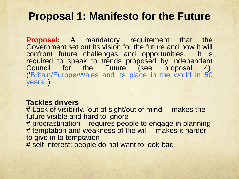#### **Proposal 1: Manifesto for the Future**

**Proposal:** A mandatory requirement that the Government set out its vision for the future and how it will confront future challenges and opportunities. It is required to speak to trends proposed by independent Council for the Future (see proposal 4). ('Britain/Europe/Wales and its place in the world in 50 years'.)

#### **Tackles drivers**

# Lack of visibility. 'out of sight/out of mind' – makes the future visible and hard to ignore # procrastination – requires people to engage in planning # temptation and weakness of the will – makes it harder to give in to temptation # self-interest: people do not want to look bad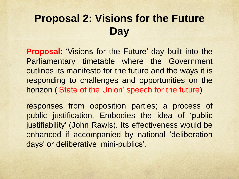### **Proposal 2: Visions for the Future Day**

**Proposal**: 'Visions for the Future' day built into the Parliamentary timetable where the Government outlines its manifesto for the future and the ways it is responding to challenges and opportunities on the horizon ('State of the Union' speech for the future)

responses from opposition parties; a process of public justification. Embodies the idea of 'public justifiability' (John Rawls). Its effectiveness would be enhanced if accompanied by national 'deliberation days' or deliberative 'mini-publics'.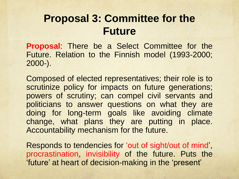### **Proposal 3: Committee for the Future**

**Proposal**: There be a Select Committee for the Future. Relation to the Finnish model (1993-2000; 2000-).

Composed of elected representatives; their role is to scrutinize policy for impacts on future generations; powers of scrutiny; can compel civil servants and politicians to answer questions on what they are doing for long-term goals like avoiding climate change, what plans they are putting in place. Accountability mechanism for the future.

Responds to tendencies for 'out of sight/out of mind', procrastination, invisibility of the future. Puts the 'future' at heart of decision-making in the 'present'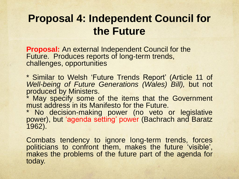### **Proposal 4: Independent Council for the Future**

**Proposal:** An external Independent Council for the Future. Produces reports of long-term trends, challenges, opportunities

\* Similar to Welsh 'Future Trends Report' (Article 11 of *Well-being of Future Generations (Wales) Bill),* but not produced by Ministers.

\* May specify some of the items that the Government must address in its Manifesto for the Future.

\* No decision-making power (no veto or legislative power), but 'agenda setting' power (Bachrach and Baratz 1962).

Combats tendency to ignore long-term trends, forces politicians to confront them, makes the future 'visible', makes the problems of the future part of the agenda for today.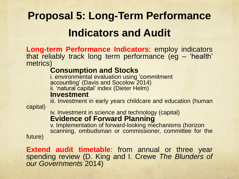## **Proposal 5: Long-Term Performance Indicators and Audit**

**Long-term Performance Indicators**: employ indicators that reliably track long term performance (eg – 'health' metrics)

#### **Consumption and Stocks**

i. environmental evaluation using 'commitment accounting' (Davis and Socolow 2014) ii. 'natural capital' index (Dieter Helm)

#### **Investment**

iii. Investment in early years childcare and education (human

capital)

iv. Investment in science and technology (capital) **Evidence of Forward Planning**

v. Implementation of forward-looking mechanisms (horizon scanning, ombudsman or commissioner, committee for the

future)

**Extend audit timetable**: from annual or three year spending review (D. King and I. Crewe *The Blunders of our Governments* 2014)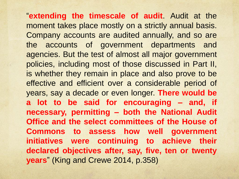"**extending the timescale of audit**. Audit at the moment takes place mostly on a strictly annual basis. Company accounts are audited annually, and so are the accounts of government departments and agencies. But the test of almost all major government policies, including most of those discussed in Part II, is whether they remain in place and also prove to be effective and efficient over a considerable period of years, say a decade or even longer. **There would be a lot to be said for encouraging – and, if necessary, permitting – both the National Audit Office and the select committees of the House of Commons to assess how well government initiatives were continuing to achieve their declared objectives after, say, five, ten or twenty years**" (King and Crewe 2014, p.358)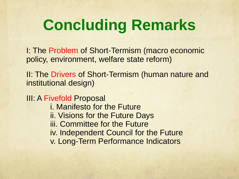# **Concluding Remarks**

I: The Problem of Short-Termism (macro economic policy, environment, welfare state reform)

II: The Drivers of Short-Termism (human nature and institutional design)

**III: A Fivefold Proposal** 

- i. Manifesto for the Future
- ii. Visions for the Future Days
- iii. Committee for the Future
- iv. Independent Council for the Future
- v. Long-Term Performance Indicators